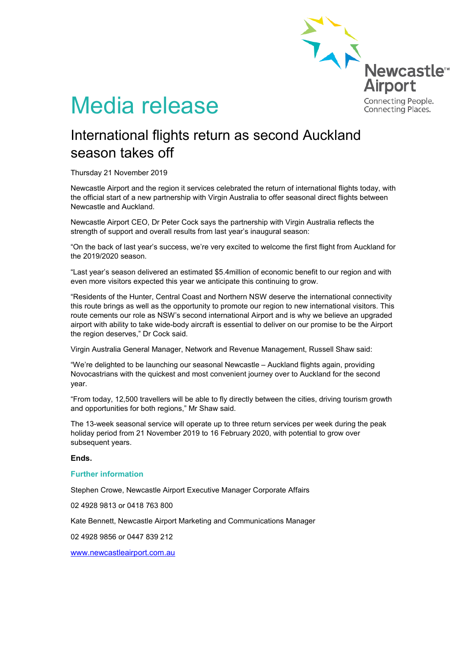

# Media release

## International flights return as second Auckland season takes off

Thursday 21 November 2019

Newcastle Airport and the region it services celebrated the return of international flights today, with the official start of a new partnership with Virgin Australia to offer seasonal direct flights between Newcastle and Auckland.

Newcastle Airport CEO, Dr Peter Cock says the partnership with Virgin Australia reflects the strength of support and overall results from last year's inaugural season:

"On the back of last year's success, we're very excited to welcome the first flight from Auckland for the 2019/2020 season.

"Last year's season delivered an estimated \$5.4million of economic benefit to our region and with even more visitors expected this year we anticipate this continuing to grow.

"Residents of the Hunter, Central Coast and Northern NSW deserve the international connectivity this route brings as well as the opportunity to promote our region to new international visitors. This route cements our role as NSW's second international Airport and is why we believe an upgraded airport with ability to take wide-body aircraft is essential to deliver on our promise to be the Airport the region deserves," Dr Cock said.

Virgin Australia General Manager, Network and Revenue Management, Russell Shaw said:

"We're delighted to be launching our seasonal Newcastle – Auckland flights again, providing Novocastrians with the quickest and most convenient journey over to Auckland for the second year.

"From today, 12,500 travellers will be able to fly directly between the cities, driving tourism growth and opportunities for both regions," Mr Shaw said.

The 13-week seasonal service will operate up to three return services per week during the peak holiday period from 21 November 2019 to 16 February 2020, with potential to grow over subsequent years.

### **Ends.**

### **Further information**

Stephen Crowe, Newcastle Airport Executive Manager Corporate Affairs

02 4928 9813 or 0418 763 800

Kate Bennett, Newcastle Airport Marketing and Communications Manager

02 4928 9856 or 0447 839 212

[www.newcastleairport.com.au](http://www.newcastleairport.com.au/)